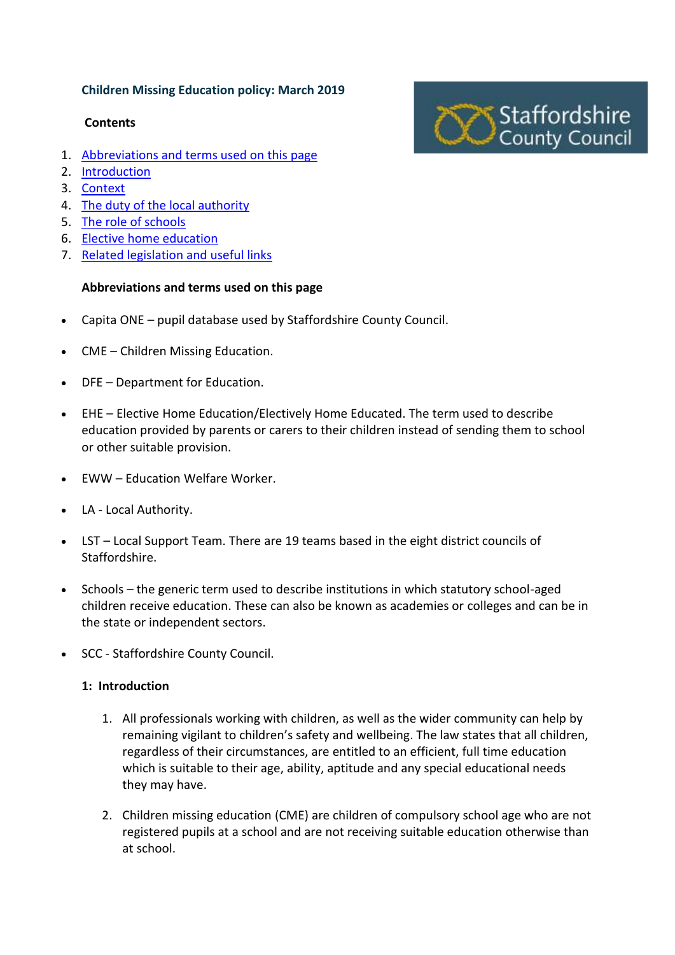## **Children Missing Education policy: March 2019**

## **Contents**



- 1. [Abbreviations and terms used on this page](https://www.staffordshire.gov.uk/Education/Education-welfare/Children-missing-from-education-policy.aspx#Abbreviations)
- 2. [Introduction](https://www.staffordshire.gov.uk/Education/Education-welfare/Children-missing-from-education-policy.aspx#Introduction)
- 3. [Context](https://www.staffordshire.gov.uk/Education/Education-welfare/Children-missing-from-education-policy.aspx#Context)
- 4. [The duty of the local authority](https://www.staffordshire.gov.uk/Education/Education-welfare/Children-missing-from-education-policy.aspx#Thedutyofthelocalauthority)
- 5. [The role of schools](https://www.staffordshire.gov.uk/Education/Education-welfare/Children-missing-from-education-policy.aspx#Theroleofschools)
- 6. [Elective home education](https://www.staffordshire.gov.uk/Education/Education-welfare/Children-missing-from-education-policy.aspx#Electivehomeeducation)
- 7. [Related legislation and useful links](https://www.staffordshire.gov.uk/Education/Education-welfare/Children-missing-from-education-policy.aspx#Relatedlegislationandusefullinks)

# **Abbreviations and terms used on this page**

- Capita ONE pupil database used by Staffordshire County Council.
- CME Children Missing Education.
- DFE Department for Education.
- EHE Elective Home Education/Electively Home Educated. The term used to describe education provided by parents or carers to their children instead of sending them to school or other suitable provision.
- EWW Education Welfare Worker.
- LA Local Authority.
- LST Local Support Team. There are 19 teams based in the eight district councils of Staffordshire.
- Schools the generic term used to describe institutions in which statutory school-aged children receive education. These can also be known as academies or colleges and can be in the state or independent sectors.
- SCC Staffordshire County Council.

## **1: Introduction**

- 1. All professionals working with children, as well as the wider community can help by remaining vigilant to children's safety and wellbeing. The law states that all children, regardless of their circumstances, are entitled to an efficient, full time education which is suitable to their age, ability, aptitude and any special educational needs they may have.
- 2. Children missing education (CME) are children of compulsory school age who are not registered pupils at a school and are not receiving suitable education otherwise than at school.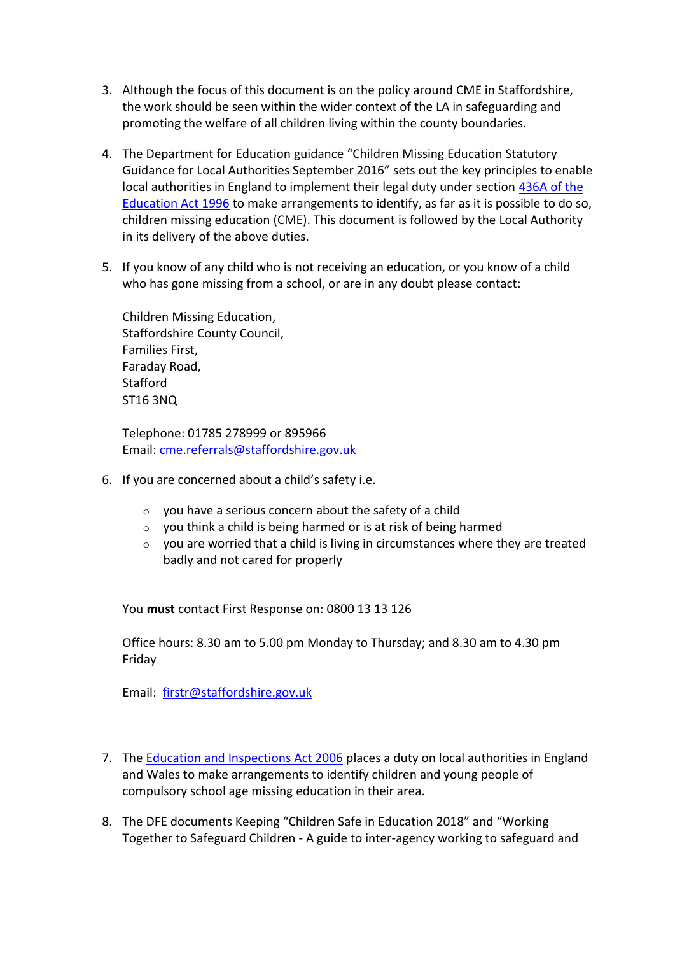- 3. Although the focus of this document is on the policy around CME in Staffordshire, the work should be seen within the wider context of the LA in safeguarding and promoting the welfare of all children living within the county boundaries.
- 4. The Department for Education guidance "Children Missing Education Statutory Guidance for Local Authorities September 2016" sets out the key principles to enable local authorities in England to implement their legal duty under section [436A of the](https://www.legislation.gov.uk/ukpga/1996/56/section/436A)  [Education Act 1996](https://www.legislation.gov.uk/ukpga/1996/56/section/436A) to make arrangements to identify, as far as it is possible to do so, children missing education (CME). This document is followed by the Local Authority in its delivery of the above duties.
- 5. If you know of any child who is not receiving an education, or you know of a child who has gone missing from a school, or are in any doubt please contact:

Children Missing Education, Staffordshire County Council, Families First, Faraday Road, Stafford ST16 3NQ

Telephone: 01785 278999 or 895966 Email: [cme.referrals@staffordshire.gov.uk](mailto:cme.referrals@staffordshire.gov.uk)

- 6. If you are concerned about a child's safety i.e.
	- o you have a serious concern about the safety of a child
	- o you think a child is being harmed or is at risk of being harmed
	- o you are worried that a child is living in circumstances where they are treated badly and not cared for properly

You **must** contact First Response on: 0800 13 13 126

Office hours: 8.30 am to 5.00 pm Monday to Thursday; and 8.30 am to 4.30 pm Friday

Email: [firstr@staffordshire.gov.uk](mailto:firstr@staffordshire.gov.uk)

- 7. The [Education and Inspections Act 2006](https://www.legislation.gov.uk/ukpga/2006/40/contents) places a duty on local authorities in England and Wales to make arrangements to identify children and young people of compulsory school age missing education in their area.
- 8. The DFE documents Keeping "Children Safe in Education 2018" and "Working Together to Safeguard Children - A guide to inter-agency working to safeguard and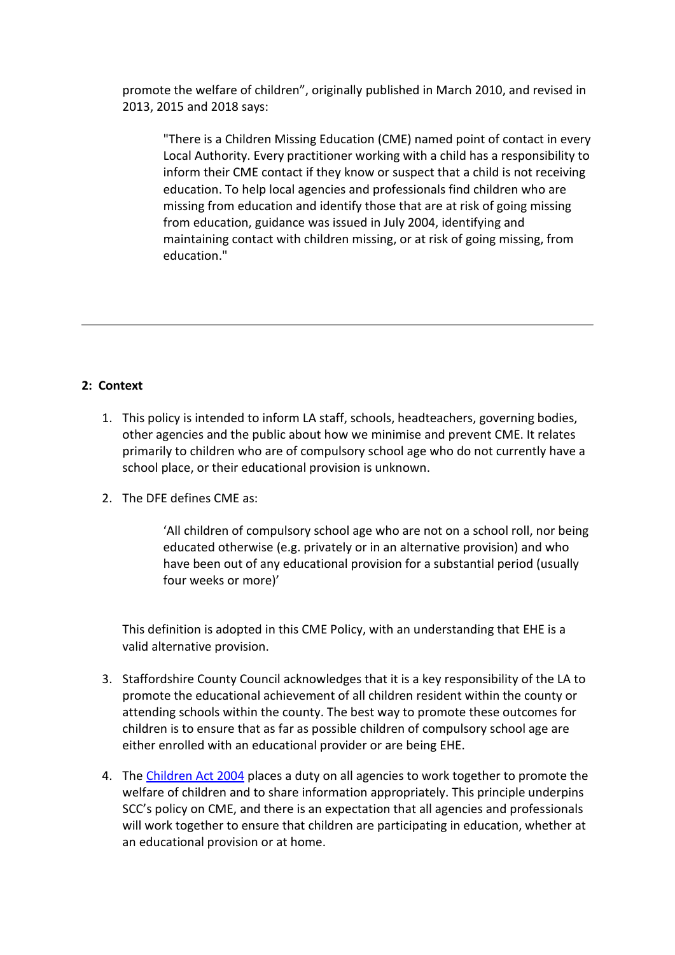promote the welfare of children", originally published in March 2010, and revised in 2013, 2015 and 2018 says:

"There is a Children Missing Education (CME) named point of contact in every Local Authority. Every practitioner working with a child has a responsibility to inform their CME contact if they know or suspect that a child is not receiving education. To help local agencies and professionals find children who are missing from education and identify those that are at risk of going missing from education, guidance was issued in July 2004, identifying and maintaining contact with children missing, or at risk of going missing, from education."

## **2: Context**

- 1. This policy is intended to inform LA staff, schools, headteachers, governing bodies, other agencies and the public about how we minimise and prevent CME. It relates primarily to children who are of compulsory school age who do not currently have a school place, or their educational provision is unknown.
- 2. The DFE defines CME as:

'All children of compulsory school age who are not on a school roll, nor being educated otherwise (e.g. privately or in an alternative provision) and who have been out of any educational provision for a substantial period (usually four weeks or more)'

This definition is adopted in this CME Policy, with an understanding that EHE is a valid alternative provision.

- 3. Staffordshire County Council acknowledges that it is a key responsibility of the LA to promote the educational achievement of all children resident within the county or attending schools within the county. The best way to promote these outcomes for children is to ensure that as far as possible children of compulsory school age are either enrolled with an educational provider or are being EHE.
- 4. The [Children Act 2004](https://www.legislation.gov.uk/ukpga/2004/31/contents) places a duty on all agencies to work together to promote the welfare of children and to share information appropriately. This principle underpins SCC's policy on CME, and there is an expectation that all agencies and professionals will work together to ensure that children are participating in education, whether at an educational provision or at home.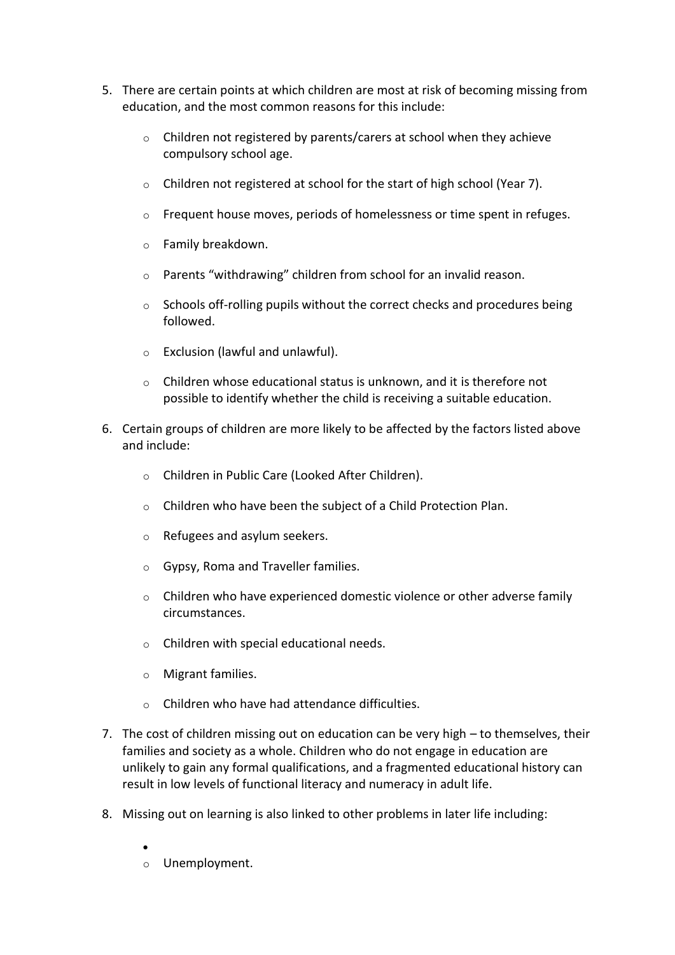- 5. There are certain points at which children are most at risk of becoming missing from education, and the most common reasons for this include:
	- o Children not registered by parents/carers at school when they achieve compulsory school age.
	- o Children not registered at school for the start of high school (Year 7).
	- o Frequent house moves, periods of homelessness or time spent in refuges.
	- o Family breakdown.
	- o Parents "withdrawing" children from school for an invalid reason.
	- o Schools off-rolling pupils without the correct checks and procedures being followed.
	- o Exclusion (lawful and unlawful).
	- o Children whose educational status is unknown, and it is therefore not possible to identify whether the child is receiving a suitable education.
- 6. Certain groups of children are more likely to be affected by the factors listed above and include:
	- o Children in Public Care (Looked After Children).
	- o Children who have been the subject of a Child Protection Plan.
	- o Refugees and asylum seekers.
	- o Gypsy, Roma and Traveller families.
	- o Children who have experienced domestic violence or other adverse family circumstances.
	- o Children with special educational needs.
	- o Migrant families.
	- o Children who have had attendance difficulties.
- 7. The cost of children missing out on education can be very high to themselves, their families and society as a whole. Children who do not engage in education are unlikely to gain any formal qualifications, and a fragmented educational history can result in low levels of functional literacy and numeracy in adult life.
- 8. Missing out on learning is also linked to other problems in later life including:
	- •
	- o Unemployment.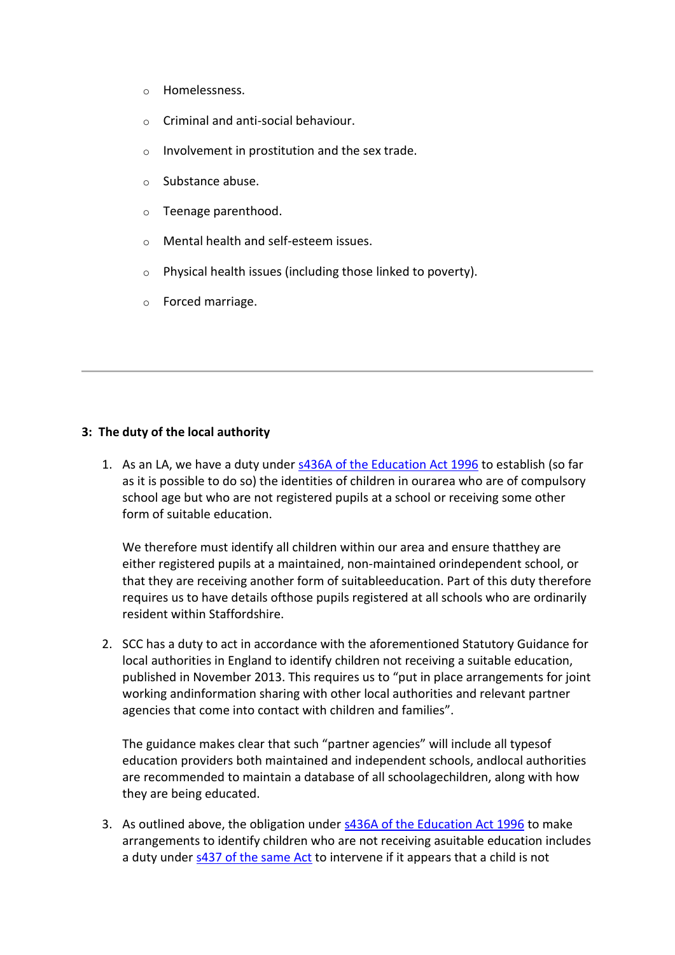- o Homelessness.
- o Criminal and anti-social behaviour.
- o Involvement in prostitution and the sex trade.
- o Substance abuse.
- o Teenage parenthood.
- o Mental health and self-esteem issues.
- o Physical health issues (including those linked to poverty).
- o Forced marriage.

#### **3: The duty of the local authority**

1. As an LA, we have a duty under  $s436A$  of the Education Act 1996 to establish (so far as it is possible to do so) the identities of children in ourarea who are of compulsory school age but who are not registered pupils at a school or receiving some other form of suitable education.

We therefore must identify all children within our area and ensure thatthey are either registered pupils at a maintained, non-maintained orindependent school, or that they are receiving another form of suitableeducation. Part of this duty therefore requires us to have details ofthose pupils registered at all schools who are ordinarily resident within Staffordshire.

2. SCC has a duty to act in accordance with the aforementioned Statutory Guidance for local authorities in England to identify children not receiving a suitable education, published in November 2013. This requires us to "put in place arrangements for joint working andinformation sharing with other local authorities and relevant partner agencies that come into contact with children and families".

The guidance makes clear that such "partner agencies" will include all typesof education providers both maintained and independent schools, andlocal authorities are recommended to maintain a database of all schoolagechildren, along with how they are being educated.

3. As outlined above, the obligation under **s436A of the Education Act 1996** to make arrangements to identify children who are not receiving asuitable education includes a duty under [s437 of the same Act](https://www.legislation.gov.uk/ukpga/1996/56/section/437) to intervene if it appears that a child is not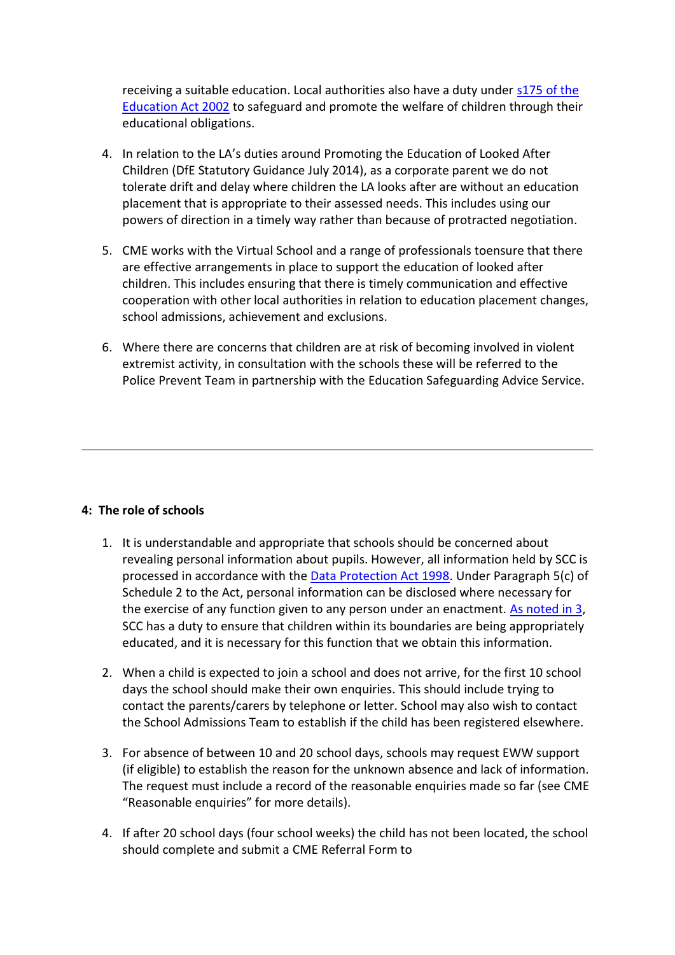receiving a suitable education. Local authorities also have a duty under [s175 of the](https://www.legislation.gov.uk/ukpga/2002/32/section/175)  [Education Act 2002](https://www.legislation.gov.uk/ukpga/2002/32/section/175) to safeguard and promote the welfare of children through their educational obligations.

- 4. In relation to the LA's duties around Promoting the Education of Looked After Children (DfE Statutory Guidance July 2014), as a corporate parent we do not tolerate drift and delay where children the LA looks after are without an education placement that is appropriate to their assessed needs. This includes using our powers of direction in a timely way rather than because of protracted negotiation.
- 5. CME works with the Virtual School and a range of professionals toensure that there are effective arrangements in place to support the education of looked after children. This includes ensuring that there is timely communication and effective cooperation with other local authorities in relation to education placement changes, school admissions, achievement and exclusions.
- 6. Where there are concerns that children are at risk of becoming involved in violent extremist activity, in consultation with the schools these will be referred to the Police Prevent Team in partnership with the Education Safeguarding Advice Service.

#### **4: The role of schools**

- 1. It is understandable and appropriate that schools should be concerned about revealing personal information about pupils. However, all information held by SCC is processed in accordance with the [Data Protection Act 1998.](https://www.legislation.gov.uk/ukpga/1998/29/contents) Under Paragraph 5(c) of Schedule 2 to the Act, personal information can be disclosed where necessary for the exercise of any function given to any person under an enactment. [As noted in 3,](https://www.staffordshire.gov.uk/Education/Education-welfare/Children-missing-from-education-policy.aspx#Thedutyofthelocalauthority) SCC has a duty to ensure that children within its boundaries are being appropriately educated, and it is necessary for this function that we obtain this information.
- 2. When a child is expected to join a school and does not arrive, for the first 10 school days the school should make their own enquiries. This should include trying to contact the parents/carers by telephone or letter. School may also wish to contact the School Admissions Team to establish if the child has been registered elsewhere.
- 3. For absence of between 10 and 20 school days, schools may request EWW support (if eligible) to establish the reason for the unknown absence and lack of information. The request must include a record of the reasonable enquiries made so far (see CME "Reasonable enquiries" for more details).
- 4. If after 20 school days (four school weeks) the child has not been located, the school should complete and submit a CME Referral Form to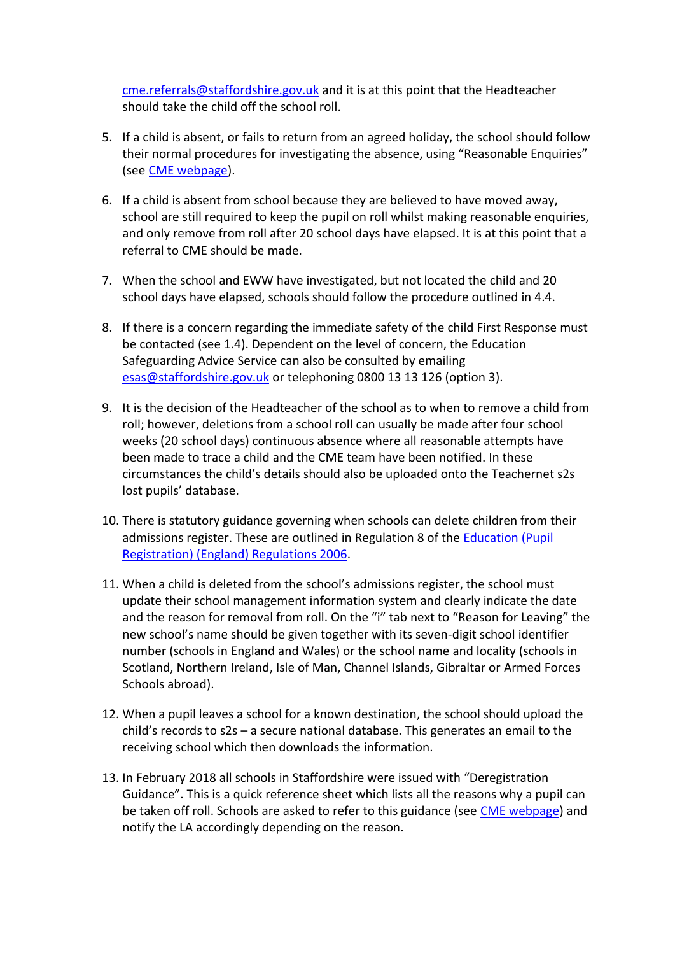[cme.referrals@staffordshire.gov.uk](mailto:cme.referrals@staffordshire.gov.uk) and it is at this point that the Headteacher should take the child off the school roll.

- 5. If a child is absent, or fails to return from an agreed holiday, the school should follow their normal procedures for investigating the absence, using "Reasonable Enquiries" (see [CME webpage\)](https://www.staffordshire.gov.uk/Education/Education-welfare/Children-missing-from-education.aspx).
- 6. If a child is absent from school because they are believed to have moved away, school are still required to keep the pupil on roll whilst making reasonable enquiries, and only remove from roll after 20 school days have elapsed. It is at this point that a referral to CME should be made.
- 7. When the school and EWW have investigated, but not located the child and 20 school days have elapsed, schools should follow the procedure outlined in 4.4.
- 8. If there is a concern regarding the immediate safety of the child First Response must be contacted (see 1.4). Dependent on the level of concern, the Education Safeguarding Advice Service can also be consulted by emailing [esas@staffordshire.gov.uk](mailto:esas@staffordshire.gov.uk) or telephoning 0800 13 13 126 (option 3).
- 9. It is the decision of the Headteacher of the school as to when to remove a child from roll; however, deletions from a school roll can usually be made after four school weeks (20 school days) continuous absence where all reasonable attempts have been made to trace a child and the CME team have been notified. In these circumstances the child's details should also be uploaded onto the Teachernet s2s lost pupils' database.
- 10. There is statutory guidance governing when schools can delete children from their admissions register. These are outlined in Regulation 8 of the [Education \(Pupil](http://www.legislation.gov.uk/uksi/2006/1751/regulation/8/made)  [Registration\) \(England\) Regulations 2006.](http://www.legislation.gov.uk/uksi/2006/1751/regulation/8/made)
- 11. When a child is deleted from the school's admissions register, the school must update their school management information system and clearly indicate the date and the reason for removal from roll. On the "i" tab next to "Reason for Leaving" the new school's name should be given together with its seven-digit school identifier number (schools in England and Wales) or the school name and locality (schools in Scotland, Northern Ireland, Isle of Man, Channel Islands, Gibraltar or Armed Forces Schools abroad).
- 12. When a pupil leaves a school for a known destination, the school should upload the child's records to s2s – a secure national database. This generates an email to the receiving school which then downloads the information.
- 13. In February 2018 all schools in Staffordshire were issued with "Deregistration Guidance". This is a quick reference sheet which lists all the reasons why a pupil can be taken off roll. Schools are asked to refer to this guidance (see [CME webpage\)](https://www.staffordshire.gov.uk/Education/Education-welfare/Children-missing-from-education.aspx) and notify the LA accordingly depending on the reason.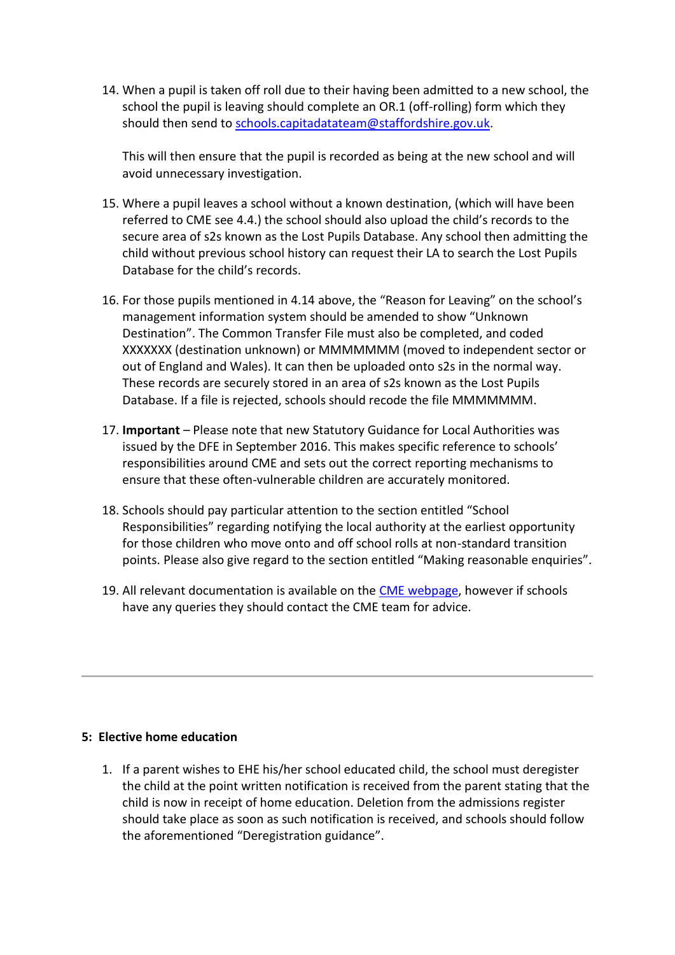14. When a pupil is taken off roll due to their having been admitted to a new school, the school the pupil is leaving should complete an OR.1 (off-rolling) form which they should then send to [schools.capitadatateam@staffordshire.gov.uk.](mailto:schools.capitadatateam@staffordshire.gov.uk)

This will then ensure that the pupil is recorded as being at the new school and will avoid unnecessary investigation.

- 15. Where a pupil leaves a school without a known destination, (which will have been referred to CME see 4.4.) the school should also upload the child's records to the secure area of s2s known as the Lost Pupils Database. Any school then admitting the child without previous school history can request their LA to search the Lost Pupils Database for the child's records.
- 16. For those pupils mentioned in 4.14 above, the "Reason for Leaving" on the school's management information system should be amended to show "Unknown Destination". The Common Transfer File must also be completed, and coded XXXXXXX (destination unknown) or MMMMMMM (moved to independent sector or out of England and Wales). It can then be uploaded onto s2s in the normal way. These records are securely stored in an area of s2s known as the Lost Pupils Database. If a file is rejected, schools should recode the file MMMMMMM.
- 17. **Important** Please note that new Statutory Guidance for Local Authorities was issued by the DFE in September 2016. This makes specific reference to schools' responsibilities around CME and sets out the correct reporting mechanisms to ensure that these often-vulnerable children are accurately monitored.
- 18. Schools should pay particular attention to the section entitled "School Responsibilities" regarding notifying the local authority at the earliest opportunity for those children who move onto and off school rolls at non-standard transition points. Please also give regard to the section entitled "Making reasonable enquiries".
- 19. All relevant documentation is available on the [CME webpage,](https://www.staffordshire.gov.uk/Education/Education-welfare/Children-missing-from-education.aspx) however if schools have any queries they should contact the CME team for advice.

#### **5: Elective home education**

1. If a parent wishes to EHE his/her school educated child, the school must deregister the child at the point written notification is received from the parent stating that the child is now in receipt of home education. Deletion from the admissions register should take place as soon as such notification is received, and schools should follow the aforementioned "Deregistration guidance".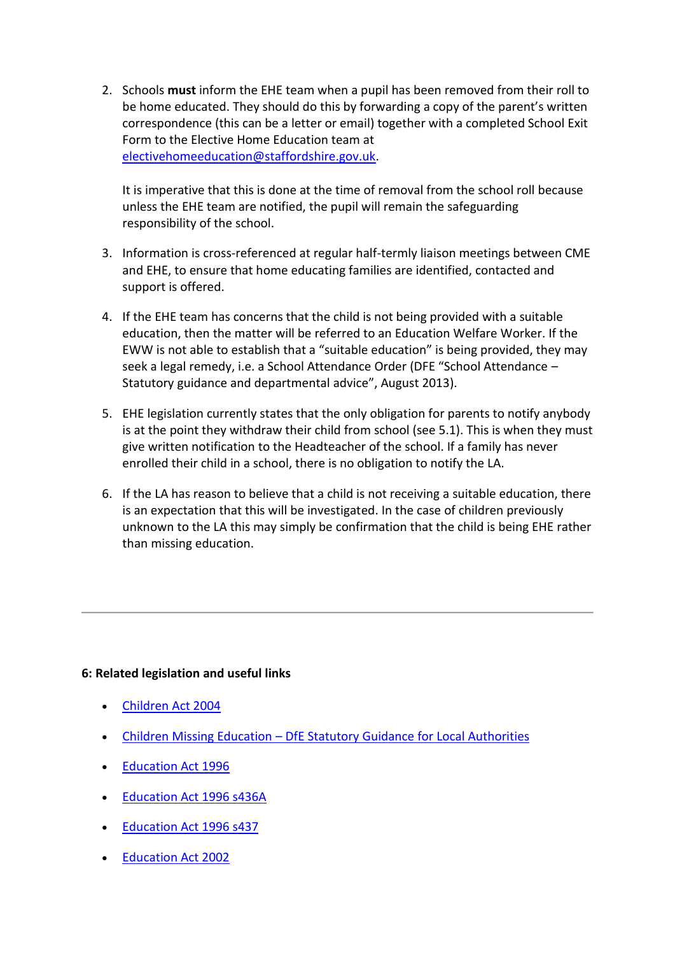2. Schools **must** inform the EHE team when a pupil has been removed from their roll to be home educated. They should do this by forwarding a copy of the parent's written correspondence (this can be a letter or email) together with a completed School Exit Form to the Elective Home Education team at [electivehomeeducation@staffordshire.gov.uk.](mailto:electivehomeeducation@staffordshire.gov.uk)

It is imperative that this is done at the time of removal from the school roll because unless the EHE team are notified, the pupil will remain the safeguarding responsibility of the school.

- 3. Information is cross-referenced at regular half-termly liaison meetings between CME and EHE, to ensure that home educating families are identified, contacted and support is offered.
- 4. If the EHE team has concerns that the child is not being provided with a suitable education, then the matter will be referred to an Education Welfare Worker. If the EWW is not able to establish that a "suitable education" is being provided, they may seek a legal remedy, i.e. a School Attendance Order (DFE "School Attendance – Statutory guidance and departmental advice", August 2013).
- 5. EHE legislation currently states that the only obligation for parents to notify anybody is at the point they withdraw their child from school (see 5.1). This is when they must give written notification to the Headteacher of the school. If a family has never enrolled their child in a school, there is no obligation to notify the LA.
- 6. If the LA has reason to believe that a child is not receiving a suitable education, there is an expectation that this will be investigated. In the case of children previously unknown to the LA this may simply be confirmation that the child is being EHE rather than missing education.

## **6: Related legislation and useful links**

- [Children Act 2004](http://www.legislation.gov.uk/ukpga/2004/31)
- Children Missing Education [DfE Statutory Guidance for Local Authorities](https://www.gov.uk/government/publications/children-missing-education)
- [Education Act 1996](http://www.legislation.gov.uk/ukpga/1996/56/contents)
- [Education Act 1996 s436A](http://www.legislation.gov.uk/ukpga/2006/40)
- [Education Act 1996 s437](http://www.legislation.gov.uk/ukpga/1996/56/contents)
- [Education Act 2002](http://www.legislation.gov.uk/ukpga/2002/32/contents)